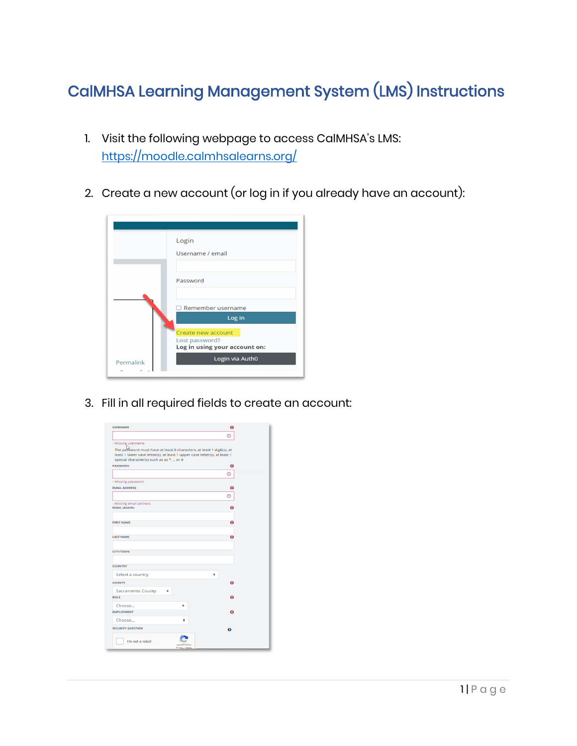## CalMHSA Learning Management System (LMS) Instructions

- 1. Visit the following webpage to access CalMHSA's LMS: <https://moodle.calmhsalearns.org/>
- 2. Create a new account (or log in if you already have an account):



3. Fill in all required fields to create an account:

| <b>USERNAME</b>                                                                                                                                                                                                        |                                     | o |
|------------------------------------------------------------------------------------------------------------------------------------------------------------------------------------------------------------------------|-------------------------------------|---|
|                                                                                                                                                                                                                        |                                     | ത |
| - Missing username<br>The password must have at least 8 characters, at least 1 digit(s), at<br>least 1 lower case letter(s), at least 1 upper case letter(s), at least 1<br>special character(s) such as as *, -, or # |                                     |   |
| <b>PASSWORD</b>                                                                                                                                                                                                        |                                     | o |
|                                                                                                                                                                                                                        |                                     | ⊕ |
| - Missing password                                                                                                                                                                                                     |                                     |   |
| <b>EMAIL ADDRESS</b>                                                                                                                                                                                                   |                                     | o |
|                                                                                                                                                                                                                        |                                     | ത |
| - Missing email address<br><b>EMAIL (AGAIN)</b>                                                                                                                                                                        |                                     | Ω |
| <b>FIRST NAME</b>                                                                                                                                                                                                      |                                     | ø |
| <b>LAST NAME</b>                                                                                                                                                                                                       |                                     | ø |
| <b>CITY/TOWN</b>                                                                                                                                                                                                       |                                     |   |
| <b>COUNTRY</b>                                                                                                                                                                                                         |                                     |   |
| Select a country                                                                                                                                                                                                       |                                     | ÷ |
| <b>COUNTY</b>                                                                                                                                                                                                          |                                     | Ŵ |
| <b>Sacramento County</b><br>$\Rightarrow$<br><b>ROLE</b>                                                                                                                                                               |                                     | ິ |
| Choose                                                                                                                                                                                                                 | ÷                                   |   |
| <b>EMPLOYMENT</b>                                                                                                                                                                                                      |                                     | ິ |
| Choose                                                                                                                                                                                                                 | ÷                                   |   |
| <b>SECURITY QUESTION</b>                                                                                                                                                                                               |                                     | ຨ |
| I'm not a robot                                                                                                                                                                                                        | <b>NACAPTCHA</b><br>Privacy - Terms |   |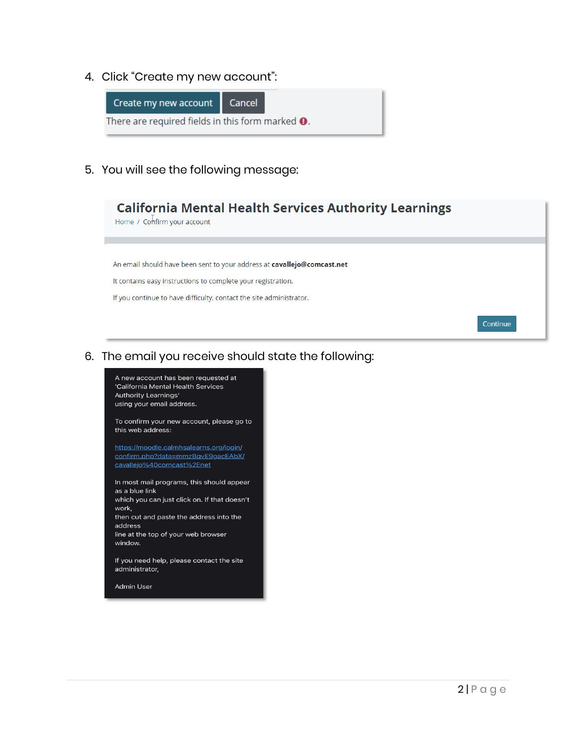4. Click "Create my new account":



5. You will see the following message:



6. The email you receive should state the following:

A new account has been requested at 'California Mental Health Services Authority Learnings' using your email address. To confirm your new account, please go to

this web address: https://moodle.calmhsalearns.org/login/

confirm.php?data=mmzBqvE9gacEAbX/ cavallejo%40comcast%2Enet

In most mail programs, this should appear as a blue link which you can just click on. If that doesn't work, then cut and paste the address into the address

line at the top of your web browser window.

If you need help, please contact the site administrator,

Admin User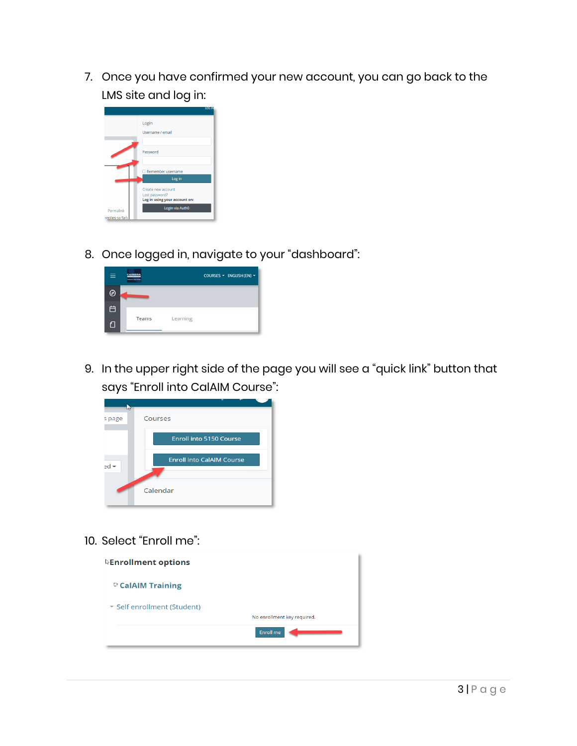7. Once you have confirmed your new account, you can go back to the LMS site and log in:

|                 | LOG IN                                          |
|-----------------|-------------------------------------------------|
|                 | Login                                           |
|                 | Username / email                                |
|                 |                                                 |
|                 | Password                                        |
|                 |                                                 |
|                 | Remember username                               |
|                 | Log in                                          |
|                 | Create new account                              |
|                 | Lost password?<br>Log in using your account on: |
| Permalink       | Login via Auth0                                 |
| replies so far) |                                                 |

8. Once logged in, navigate to your "dashboard":

| ≡ | <b>IMHSA</b><br>---<br>. | COURSES - ENGLISH (EN) - |
|---|--------------------------|--------------------------|
| ∂ |                          |                          |
| 白 |                          |                          |
| ⋂ | Teams                    | Learning                 |

9. In the upper right side of the page you will see a "quick link" button that says "Enroll into CalAIM Course":



10. Select "Enroll me":

| $\&$ Enrollment options     |                             |
|-----------------------------|-----------------------------|
| CalAIM Training             |                             |
| ▼ Self enrollment (Student) |                             |
|                             | No enrollment key required. |
|                             | Enroll me                   |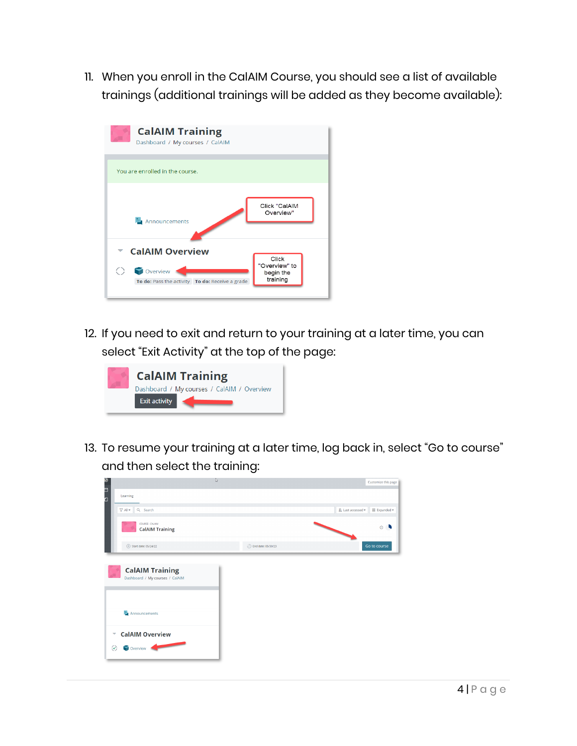11. When you enroll in the CalAIM Course, you should see a list of available trainings (additional trainings will be added as they become available):



12. If you need to exit and return to your training at a later time, you can select "Exit Activity" at the top of the page:



13. To resume your training at a later time, log back in, select "Go to course" and then select the training:

|                                                                                                                                                                                                                                           | w                           | Customize this page                                  |
|-------------------------------------------------------------------------------------------------------------------------------------------------------------------------------------------------------------------------------------------|-----------------------------|------------------------------------------------------|
| しロロ<br>Learning                                                                                                                                                                                                                           |                             |                                                      |
| $\nabla$ All $\sim$<br>Q Search                                                                                                                                                                                                           |                             | $\downarrow$ Last accessed $\star$<br>III Expanded - |
| COURSE - CALAIM<br><b>CalAIM Training</b>                                                                                                                                                                                                 |                             | $\circ$ $\bullet$                                    |
| $(p)$ Start date: 05/24/22                                                                                                                                                                                                                | <b>D</b> End date: 05/30/23 | Go to course                                         |
| <b>CalAIM Training</b><br>Dashboard / My courses / CalAIM                                                                                                                                                                                 |                             |                                                      |
| Announcements                                                                                                                                                                                                                             |                             |                                                      |
| <b>CalAIM Overview</b><br>∀                                                                                                                                                                                                               |                             |                                                      |
| Overview <b>Contract Contract Contract Contract Contract Contract Contract Contract Contract Contract Contract Contract Contract Contract Contract Contract Contract Contract Contract Contract Contract Contract Contract Contr</b><br>⊛ |                             |                                                      |